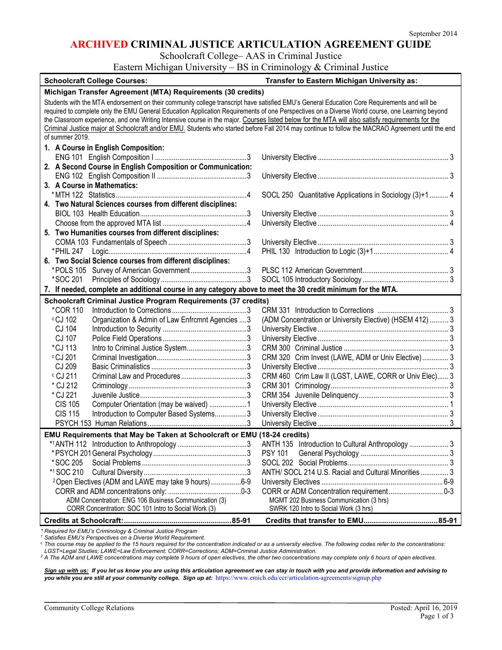#### **ARCHIVED CRIMINAL JUSTICE ARTICULATION AGREEMENT GUIDE**

Schoolcraft College– AAS in Criminal Justice

Eastern Michigan University – BS in Criminology & Criminal Justice

| <b>Schoolcraft College Courses:</b>                                                                                                               | Transfer to Eastern Michigan University as:              |  |  |
|---------------------------------------------------------------------------------------------------------------------------------------------------|----------------------------------------------------------|--|--|
| Michigan Transfer Agreement (MTA) Requirements (30 credits)                                                                                       |                                                          |  |  |
| Students with the MTA endorsement on their community college transcript have satisfied EMU's General Education Core Requirements and will be      |                                                          |  |  |
| required to complete only the EMU General Education Application Requirements of one Perspectives on a Diverse World course, one Learning beyond   |                                                          |  |  |
| the Classroom experience, and one Writing Intensive course in the major. Courses listed below for the MTA will also satisfy requirements for the  |                                                          |  |  |
| Criminal Justice major at Schoolcraft and/or EMU. Students who started before Fall 2014 may continue to follow the MACRAO Agreement until the end |                                                          |  |  |
| of summer 2019.                                                                                                                                   |                                                          |  |  |
| 1. A Course in English Composition:                                                                                                               |                                                          |  |  |
|                                                                                                                                                   |                                                          |  |  |
| 2. A Second Course in English Composition or Communication:                                                                                       |                                                          |  |  |
|                                                                                                                                                   |                                                          |  |  |
| 3. A Course in Mathematics:                                                                                                                       |                                                          |  |  |
|                                                                                                                                                   | SOCL 250 Quantitative Applications in Sociology (3)+1  4 |  |  |
| 4. Two Natural Sciences courses from different disciplines:                                                                                       |                                                          |  |  |
|                                                                                                                                                   |                                                          |  |  |
|                                                                                                                                                   |                                                          |  |  |
| 5. Two Humanities courses from different disciplines:                                                                                             |                                                          |  |  |
|                                                                                                                                                   |                                                          |  |  |
|                                                                                                                                                   |                                                          |  |  |
| 6. Two Social Science courses from different disciplines:                                                                                         |                                                          |  |  |
| *POLS 105 Survey of American Government3                                                                                                          |                                                          |  |  |
| *SOC 201                                                                                                                                          |                                                          |  |  |
| 7. If needed, complete an additional course in any category above to meet the 30 credit minimum for the MTA.                                      |                                                          |  |  |
| <b>Schoolcraft Criminal Justice Program Requirements (37 credits)</b>                                                                             |                                                          |  |  |
| <i>*COR</i> 110                                                                                                                                   |                                                          |  |  |
| cCJ 102<br>Organization & Admin of Law Enfrcmnt Agencies  3                                                                                       | (ADM Concentration or University Elective) (HSEM 412)  3 |  |  |
| CJ 104                                                                                                                                            |                                                          |  |  |
| CJ 107                                                                                                                                            |                                                          |  |  |
| *CJ 113                                                                                                                                           |                                                          |  |  |
| $\circ$ CJ 201                                                                                                                                    | CRM 320 Crim Invest (LAWE, ADM or Univ Elective)  3      |  |  |
| CJ 209                                                                                                                                            |                                                          |  |  |
| c CJ 211                                                                                                                                          | CRM 460 Crim Law II (LGST, LAWE, CORR or Univ Elec) 3    |  |  |
| * CJ 212                                                                                                                                          |                                                          |  |  |
| * CJ 221                                                                                                                                          |                                                          |  |  |
| <b>CIS 105</b><br>Computer Orientation (may be waived) 1                                                                                          |                                                          |  |  |
| <b>CIS 115</b><br>Introduction to Computer Based Systems3                                                                                         |                                                          |  |  |
|                                                                                                                                                   |                                                          |  |  |
| EMU Requirements that May be Taken at Schoolcraft or EMU (18-24 credits)                                                                          |                                                          |  |  |
|                                                                                                                                                   |                                                          |  |  |
|                                                                                                                                                   | <b>PSY 101</b>                                           |  |  |
| *SOC 205                                                                                                                                          |                                                          |  |  |
| *1 SOC 210                                                                                                                                        | ANTH/ SOCL 214 U.S. Racial and Cultural Minorities 3     |  |  |
|                                                                                                                                                   |                                                          |  |  |
| <sup>2</sup> Open Electives (ADM and LAWE may take 9 hours) 6-9                                                                                   |                                                          |  |  |
| ADM Concentration: ENG 106 Business Communication (3)                                                                                             | MGMT 202 Business Communication (3 hrs)                  |  |  |
| CORR Concentration: SOC 101 Intro to Social Work (3)                                                                                              | SWRK 120 Intro to Social Work (3 hrs)                    |  |  |
|                                                                                                                                                   |                                                          |  |  |
|                                                                                                                                                   |                                                          |  |  |

*\* Required for EMU's Criminology & Criminal Justice Program*

*<sup>1</sup> Satisfies EMU's Perspectives on a Diverse World Requirement.*

<sup>c</sup> *This course may be applied to the 15 hours required for the concentration indicated or as a university elective. The following codes refer to the concentrations: LGST=Legal Studies; LAWE=Law Enforcement; CORR=Corrections; ADM=Criminal Justice Administration.*

*<sup>2</sup> A The ADM and LAWE concentrations may complete 9 hours of open electives, the other two concentrations may complete only 6 hours of open electives.*

*Sign up with us: If you let us know you are using this articulation agreement we can stay in touch with you and provide information and advising to you while you are still at your community college. Sign up at:* <https://www.emich.edu/ccr/articulation-agreements/signup.php>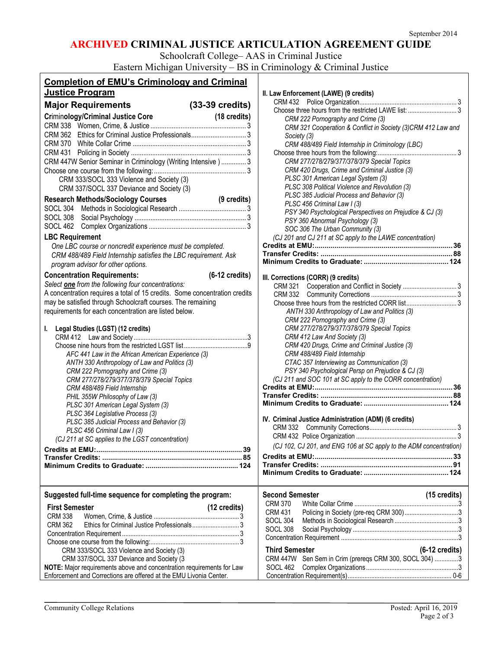# **ARCHIVED CRIMINAL JUSTICE ARTICULATION AGREEMENT GUIDE**

Schoolcraft College– AAS in Criminal Justice

Eastern Michigan University – BS in Criminology & Criminal Justice

| <b>Completion of EMU's Criminology and Criminal</b>                             |                                                                                                 |
|---------------------------------------------------------------------------------|-------------------------------------------------------------------------------------------------|
| Justice Program                                                                 | II. Law Enforcement (LAWE) (9 credits)                                                          |
| $(33-39 \text{ credits})$<br><b>Major Requirements</b>                          |                                                                                                 |
| (18 credits)<br><b>Criminology/Criminal Justice Core</b>                        | CRM 222 Pornography and Crime (3)                                                               |
|                                                                                 | CRM 321 Cooperation & Conflict in Society (3)CRM 412 Law and                                    |
|                                                                                 | Society (3)                                                                                     |
|                                                                                 | CRM 488/489 Field Internship in Criminology (LBC)                                               |
|                                                                                 |                                                                                                 |
| CRM 447W Senior Seminar in Criminology (Writing Intensive) 3                    | CRM 277/278/279/377/378/379 Special Topics                                                      |
|                                                                                 | CRM 420 Drugs, Crime and Criminal Justice (3)                                                   |
| CRM 333/SOCL 333 Violence and Society (3)                                       | PLSC 301 American Legal System (3)                                                              |
| CRM 337/SOCL 337 Deviance and Society (3)                                       | PLSC 308 Political Violence and Revolution (3)                                                  |
| <b>Research Methods/Sociology Courses</b><br>(9 credits)                        | PLSC 385 Judicial Process and Behavior (3)                                                      |
|                                                                                 | PLSC 456 Criminal Law I (3)<br>PSY 340 Psychological Perspectives on Prejudice & CJ (3)         |
|                                                                                 | PSY 360 Abnormal Psychology (3)                                                                 |
|                                                                                 | SOC 306 The Urban Community (3)                                                                 |
| <b>LBC Requirement</b>                                                          | (CJ 201 and CJ 211 at SC apply to the LAWE concentration)                                       |
| One LBC course or noncredit experience must be completed.                       |                                                                                                 |
| CRM 488/489 Field Internship satisfies the LBC requirement. Ask                 |                                                                                                 |
| program advisor for other options.                                              |                                                                                                 |
| <b>Concentration Requirements:</b><br>$(6-12 \text{ credits})$                  | III. Corrections (CORR) (9 credits)                                                             |
| Select one from the following four concentrations:                              |                                                                                                 |
| A concentration requires a total of 15 credits. Some concentration credits      |                                                                                                 |
| may be satisfied through Schoolcraft courses. The remaining                     |                                                                                                 |
| requirements for each concentration are listed below.                           | ANTH 330 Anthropology of Law and Politics (3)                                                   |
|                                                                                 | CRM 222 Pornography and Crime (3)                                                               |
| I. Legal Studies (LGST) (12 credits)                                            | CRM 277/278/279/377/378/379 Special Topics                                                      |
|                                                                                 | CRM 412 Law And Society (3)                                                                     |
|                                                                                 | CRM 420 Drugs, Crime and Criminal Justice (3)                                                   |
| AFC 441 Law in the African American Experience (3)                              | CRM 488/489 Field Internship                                                                    |
| ANTH 330 Anthropology of Law and Politics (3)                                   | CTAC 357 Interviewing as Communication (3)<br>PSY 340 Psychological Persp on Prejudice & CJ (3) |
| CRM 222 Pornography and Crime (3)<br>CRM 277/278/279/377/378/379 Special Topics | (CJ 211 and SOC 101 at SC apply to the CORR concentration)                                      |
| CRM 488/489 Field Internship                                                    |                                                                                                 |
| PHIL 355W Philosophy of Law (3)                                                 |                                                                                                 |
| PLSC 301 American Legal System (3)                                              |                                                                                                 |
| PLSC 364 Legislative Process (3)                                                |                                                                                                 |
| PLSC 385 Judicial Process and Behavior (3)                                      | IV. Criminal Justice Administration (ADM) (6 credits)                                           |
| PLSC 456 Criminal Law I (3)                                                     |                                                                                                 |
| (CJ 211 at SC applies to the LGST concentration)                                | (CJ 102, CJ 201, and ENG 106 at SC apply to the ADM concentration)                              |
|                                                                                 |                                                                                                 |
|                                                                                 |                                                                                                 |
|                                                                                 |                                                                                                 |
|                                                                                 |                                                                                                 |
| Suggested full-time sequence for completing the program:                        | $(15 \text{ credits})$<br><b>Second Semester</b>                                                |
|                                                                                 | <b>CRM 370</b>                                                                                  |
| <b>First Semester</b><br>(12 credits)                                           | <b>CRM 431</b>                                                                                  |
| <b>CRM 338</b>                                                                  | SOCL <sub>304</sub>                                                                             |
| <b>CRM 362</b>                                                                  | SOCL 308                                                                                        |
|                                                                                 |                                                                                                 |
| CRM 333/SOCL 333 Violence and Society (3)                                       | <b>Third Semester</b><br>$(6-12 \text{ credits})$                                               |
| CRM 337/SOCL 337 Deviance and Society (3                                        | CRM 447W Sen Sem in Crim (prereqs CRM 300, SOCL 304) 3                                          |
| NOTE: Major requirements above and concentration requirements for Law           | SOCL 462                                                                                        |
| Enforcement and Corrections are offered at the EMU Livonia Center.              |                                                                                                 |
|                                                                                 |                                                                                                 |

| Society (3)            | CRM 222 Pornography and Crime (3)<br>CRM 321 Cooperation & Conflict in Society (3)CRM 412 Law and               |                          |
|------------------------|-----------------------------------------------------------------------------------------------------------------|--------------------------|
|                        | CRM 488/489 Field Internship in Criminology (LBC)<br>CRM 277/278/279/377/378/379 Special Topics                 |                          |
|                        | CRM 420 Drugs, Crime and Criminal Justice (3)                                                                   |                          |
|                        | PLSC 301 American Legal System (3)<br>PLSC 308 Political Violence and Revolution (3)                            |                          |
|                        | PLSC 385 Judicial Process and Behavior (3)                                                                      |                          |
|                        | PLSC 456 Criminal Law I (3)                                                                                     |                          |
|                        | PSY 340 Psychological Perspectives on Prejudice & CJ (3)                                                        |                          |
|                        | PSY 360 Abnormal Psychology (3)                                                                                 |                          |
|                        | SOC 306 The Urban Community (3)<br>(CJ 201 and CJ 211 at SC apply to the LAWE concentration)                    |                          |
|                        |                                                                                                                 |                          |
|                        |                                                                                                                 |                          |
|                        |                                                                                                                 |                          |
|                        | III. Corrections (CORR) (9 credits)                                                                             |                          |
|                        |                                                                                                                 |                          |
|                        |                                                                                                                 |                          |
|                        |                                                                                                                 |                          |
|                        | ANTH 330 Anthropology of Law and Politics (3)<br>CRM 222 Pornography and Crime (3)                              |                          |
|                        | CRM 277/278/279/377/378/379 Special Topics                                                                      |                          |
|                        | CRM 412 Law And Society (3)                                                                                     |                          |
|                        | CRM 420 Drugs, Crime and Criminal Justice (3)                                                                   |                          |
|                        | CRM 488/489 Field Internship                                                                                    |                          |
|                        | CTAC 357 Interviewing as Communication (3)                                                                      |                          |
|                        | PSY 340 Psychological Persp on Prejudice & CJ (3)<br>(CJ 211 and SOC 101 at SC apply to the CORR concentration) |                          |
|                        |                                                                                                                 |                          |
|                        |                                                                                                                 |                          |
|                        |                                                                                                                 |                          |
|                        | IV. Criminal Justice Administration (ADM) (6 credits)                                                           |                          |
|                        |                                                                                                                 |                          |
|                        |                                                                                                                 |                          |
|                        | (CJ 102, CJ 201, and ENG 106 at SC apply to the ADM concentration)                                              |                          |
|                        |                                                                                                                 |                          |
|                        |                                                                                                                 |                          |
|                        |                                                                                                                 |                          |
| <b>Second Semester</b> |                                                                                                                 | (15 credits)             |
| <b>CRM 370</b>         |                                                                                                                 |                          |
| <b>CRM 431</b>         | Policing in Society (pre-req CRM 300)3                                                                          |                          |
| <b>SOCL 304</b>        |                                                                                                                 |                          |
| <b>SOCL 308</b>        |                                                                                                                 |                          |
|                        |                                                                                                                 |                          |
|                        |                                                                                                                 |                          |
| <b>Third Semester</b>  |                                                                                                                 | $(6-12 \text{ credits})$ |
| <b>CRM 447W</b>        | Sen Sem in Crim (prereqs CRM 300, SOCL 304) 3                                                                   |                          |
| <b>SOCL 462</b>        |                                                                                                                 |                          |